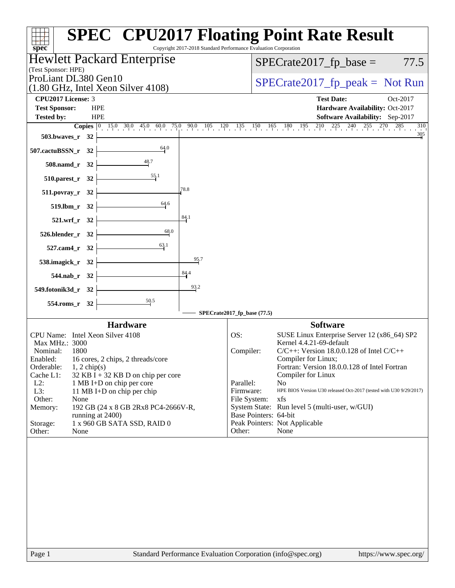| $spec^*$                                                                    | <b>SPEC<sup>®</sup> CPU2017 Floating Point Rate Result</b><br>Copyright 2017-2018 Standard Performance Evaluation Corporation                                                  |
|-----------------------------------------------------------------------------|--------------------------------------------------------------------------------------------------------------------------------------------------------------------------------|
| <b>Hewlett Packard Enterprise</b>                                           | 77.5<br>$SPECrate2017_fp\_base =$                                                                                                                                              |
| (Test Sponsor: HPE)<br>ProLiant DL380 Gen10                                 | $SPECrate2017_fp\_peak = Not Run$                                                                                                                                              |
| $(1.80 \text{ GHz}, \text{Intel Xeon Silver } 4108)$                        |                                                                                                                                                                                |
| CPU2017 License: 3<br><b>Test Sponsor:</b><br><b>HPE</b>                    | <b>Test Date:</b><br>Oct-2017<br>Hardware Availability: Oct-2017                                                                                                               |
| <b>HPE</b><br><b>Tested by:</b>                                             | Software Availability: Sep-2017                                                                                                                                                |
|                                                                             | <b>Copies</b> $\begin{bmatrix} 0 & 15.0 & 30.0 & 45.0 & 60.0 & 75.0 & 90.0 & 105 & 120 & 135 & 150 & 165 & 180 & 195 & 210 & 225 & 240 & 255 & 270 & 285 \end{bmatrix}$<br>310 |
| $503.bwaves_r 32$                                                           | $\frac{305}{4}$                                                                                                                                                                |
| 64.0<br>507.cactuBSSN_r 32                                                  |                                                                                                                                                                                |
| $508$ .namd_r 32                                                            |                                                                                                                                                                                |
| $\frac{55.1}{2}$<br>$510.parest_r 32$                                       |                                                                                                                                                                                |
| 78.8<br>$511. povray_r 32$                                                  |                                                                                                                                                                                |
| 64.6<br>$519.1$ bm_r 32 $\vdash$                                            |                                                                                                                                                                                |
| 84.1<br>$521.wrf_r$ 32                                                      |                                                                                                                                                                                |
| 68.0<br>$526.$ blender_r 32 $\vdash$                                        |                                                                                                                                                                                |
| 63.1<br>$527$ .cam4_r 32 $\vert$                                            |                                                                                                                                                                                |
| 95.7<br>538.imagick_r 32 $\vert$                                            |                                                                                                                                                                                |
| $\frac{84.4}{4}$<br>$544.nab_r$ 32                                          |                                                                                                                                                                                |
| 93.2<br>549.fotonik3d_r 32 $\vert$                                          |                                                                                                                                                                                |
| $\frac{50.5}{ }$<br>$554$ .roms_r 32                                        | SPECrate2017_fp_base (77.5)                                                                                                                                                    |
| <b>Hardware</b>                                                             | <b>Software</b>                                                                                                                                                                |
| CPU Name: Intel Xeon Silver 4108                                            | OS:<br>SUSE Linux Enterprise Server 12 (x86_64) SP2                                                                                                                            |
| Max MHz.: 3000<br>Nominal:<br>1800                                          | Kernel 4.4.21-69-default<br>$C/C++$ : Version 18.0.0.128 of Intel $C/C++$<br>Compiler:                                                                                         |
| Enabled: 16 cores, 2 chips, 2 threads/core                                  | Compiler for Linux;                                                                                                                                                            |
| Orderable:<br>$1, 2$ chip(s)<br>Cache L1:                                   | Fortran: Version 18.0.0.128 of Intel Fortran                                                                                                                                   |
| $32$ KB I + 32 KB D on chip per core<br>$L2$ :<br>1 MB I+D on chip per core | Compiler for Linux<br>Parallel:<br>N <sub>0</sub>                                                                                                                              |
| $L3$ :<br>11 MB I+D on chip per chip                                        | Firmware:<br>HPE BIOS Version U30 released Oct-2017 (tested with U30 9/29/2017)                                                                                                |
| Other:<br>None<br>Memory:<br>192 GB (24 x 8 GB 2Rx8 PC4-2666V-R,            | File System:<br>xfs<br>System State: Run level 5 (multi-user, w/GUI)                                                                                                           |
| running at 2400)                                                            | Base Pointers: 64-bit                                                                                                                                                          |
| Storage:<br>1 x 960 GB SATA SSD, RAID 0                                     | Peak Pointers: Not Applicable                                                                                                                                                  |
| Other:<br>None                                                              | Other:<br>None                                                                                                                                                                 |
|                                                                             |                                                                                                                                                                                |
|                                                                             |                                                                                                                                                                                |
|                                                                             |                                                                                                                                                                                |
|                                                                             |                                                                                                                                                                                |
|                                                                             |                                                                                                                                                                                |
|                                                                             |                                                                                                                                                                                |
|                                                                             |                                                                                                                                                                                |
|                                                                             |                                                                                                                                                                                |
|                                                                             |                                                                                                                                                                                |
|                                                                             |                                                                                                                                                                                |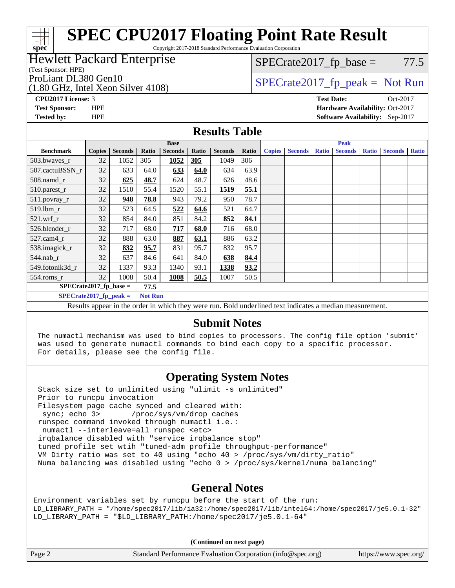# **[SPEC CPU2017 Floating Point Rate Result](http://www.spec.org/auto/cpu2017/Docs/result-fields.html#SPECCPU2017FloatingPointRateResult)**

Copyright 2017-2018 Standard Performance Evaluation Corporation

### Hewlett Packard Enterprise

(Test Sponsor: HPE)

**[spec](http://www.spec.org/)**

(1.80 GHz, Intel Xeon Silver 4108) ProLiant DL380 Gen10<br>  $\begin{array}{c|c}\n\text{SPECrate2017\_fp\_peak} = \text{Not Run} \\
\hline\n\end{array}$ 

 $SPECTate2017<sub>fp</sub> base = 77.5$ 

**[CPU2017 License:](http://www.spec.org/auto/cpu2017/Docs/result-fields.html#CPU2017License)** 3 **[Test Date:](http://www.spec.org/auto/cpu2017/Docs/result-fields.html#TestDate)** Oct-2017

**[Test Sponsor:](http://www.spec.org/auto/cpu2017/Docs/result-fields.html#TestSponsor)** HPE **[Hardware Availability:](http://www.spec.org/auto/cpu2017/Docs/result-fields.html#HardwareAvailability)** Oct-2017 **[Tested by:](http://www.spec.org/auto/cpu2017/Docs/result-fields.html#Testedby)** HPE **[Software Availability:](http://www.spec.org/auto/cpu2017/Docs/result-fields.html#SoftwareAvailability)** Sep-2017

### **[Results Table](http://www.spec.org/auto/cpu2017/Docs/result-fields.html#ResultsTable)**

|                                                                                                             | <b>Base</b>   |                |       |                |       |                | <b>Peak</b> |               |                |              |                |              |                |              |
|-------------------------------------------------------------------------------------------------------------|---------------|----------------|-------|----------------|-------|----------------|-------------|---------------|----------------|--------------|----------------|--------------|----------------|--------------|
| <b>Benchmark</b>                                                                                            | <b>Copies</b> | <b>Seconds</b> | Ratio | <b>Seconds</b> | Ratio | <b>Seconds</b> | Ratio       | <b>Copies</b> | <b>Seconds</b> | <b>Ratio</b> | <b>Seconds</b> | <b>Ratio</b> | <b>Seconds</b> | <b>Ratio</b> |
| 503.bwaves_r                                                                                                | 32            | 1052           | 305   | 1052           | 305   | 1049           | 306         |               |                |              |                |              |                |              |
| 507.cactuBSSN r                                                                                             | 32            | 633            | 64.0  | 633            | 64.0  | 634            | 63.9        |               |                |              |                |              |                |              |
| $508$ .namd $r$                                                                                             | 32            | 625            | 48.7  | 624            | 48.7  | 626            | 48.6        |               |                |              |                |              |                |              |
| 510.parest_r                                                                                                | 32            | 1510           | 55.4  | 1520           | 55.1  | 1519           | 55.1        |               |                |              |                |              |                |              |
| 511.povray_r                                                                                                | 32            | 948            | 78.8  | 943            | 79.2  | 950            | 78.7        |               |                |              |                |              |                |              |
| 519.lbm r                                                                                                   | 32            | 523            | 64.5  | 522            | 64.6  | 521            | 64.7        |               |                |              |                |              |                |              |
| $521$ .wrf r                                                                                                | 32            | 854            | 84.0  | 851            | 84.2  | 852            | 84.1        |               |                |              |                |              |                |              |
| 526.blender r                                                                                               | 32            | 717            | 68.0  | 717            | 68.0  | 716            | 68.0        |               |                |              |                |              |                |              |
| $527$ .cam $4r$                                                                                             | 32            | 888            | 63.0  | 887            | 63.1  | 886            | 63.2        |               |                |              |                |              |                |              |
| 538.imagick_r                                                                                               | 32            | 832            | 95.7  | 831            | 95.7  | 832            | 95.7        |               |                |              |                |              |                |              |
| 544.nab r                                                                                                   | 32            | 637            | 84.6  | 641            | 84.0  | 638            | 84.4        |               |                |              |                |              |                |              |
| 549.fotonik3d r                                                                                             | 32            | 1337           | 93.3  | 1340           | 93.1  | 1338           | 93.2        |               |                |              |                |              |                |              |
| $554$ .roms_r                                                                                               | 32            | 1008           | 50.4  | 1008           | 50.5  | 1007           | 50.5        |               |                |              |                |              |                |              |
| $SPECrate2017$ fp base =<br>77.5                                                                            |               |                |       |                |       |                |             |               |                |              |                |              |                |              |
| $SPECrate2017_fp\_peak =$<br><b>Not Run</b>                                                                 |               |                |       |                |       |                |             |               |                |              |                |              |                |              |
| Desulto anno an in the suden in which there were my Dald wadedined text in disates a meadian massacronesser |               |                |       |                |       |                |             |               |                |              |                |              |                |              |

Results appear in the [order in which they were run.](http://www.spec.org/auto/cpu2017/Docs/result-fields.html#RunOrder) Bold underlined text [indicates a median measurement.](http://www.spec.org/auto/cpu2017/Docs/result-fields.html#Median)

### **[Submit Notes](http://www.spec.org/auto/cpu2017/Docs/result-fields.html#SubmitNotes)**

 The numactl mechanism was used to bind copies to processors. The config file option 'submit' was used to generate numactl commands to bind each copy to a specific processor. For details, please see the config file.

### **[Operating System Notes](http://www.spec.org/auto/cpu2017/Docs/result-fields.html#OperatingSystemNotes)**

 Stack size set to unlimited using "ulimit -s unlimited" Prior to runcpu invocation Filesystem page cache synced and cleared with: sync; echo 3> /proc/sys/vm/drop\_caches runspec command invoked through numactl i.e.: numactl --interleave=all runspec <etc> irqbalance disabled with "service irqbalance stop" tuned profile set wtih "tuned-adm profile throughput-performance" VM Dirty ratio was set to 40 using "echo 40 > /proc/sys/vm/dirty\_ratio" Numa balancing was disabled using "echo 0 > /proc/sys/kernel/numa\_balancing"

### **[General Notes](http://www.spec.org/auto/cpu2017/Docs/result-fields.html#GeneralNotes)**

Environment variables set by runcpu before the start of the run: LD\_LIBRARY\_PATH = "/home/spec2017/lib/ia32:/home/spec2017/lib/intel64:/home/spec2017/je5.0.1-32" LD\_LIBRARY\_PATH = "\$LD\_LIBRARY\_PATH:/home/spec2017/je5.0.1-64"

**(Continued on next page)**

| Page 2 | Standard Performance Evaluation Corporation (info@spec.org) | https://www.spec.org/ |
|--------|-------------------------------------------------------------|-----------------------|
|--------|-------------------------------------------------------------|-----------------------|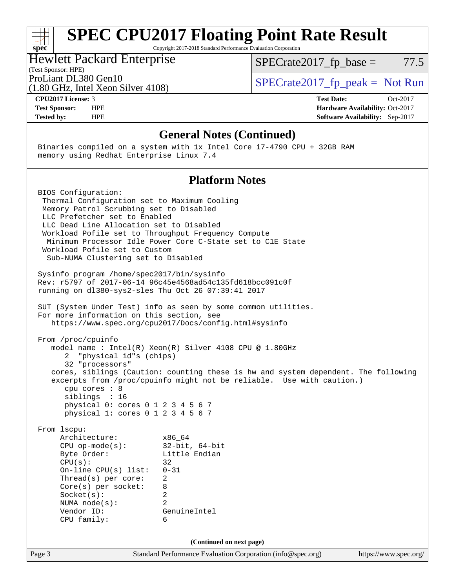### **[spec](http://www.spec.org/) [SPEC CPU2017 Floating Point Rate Result](http://www.spec.org/auto/cpu2017/Docs/result-fields.html#SPECCPU2017FloatingPointRateResult)** Copyright 2017-2018 Standard Performance Evaluation Corporation (Test Sponsor: HPE) Hewlett Packard Enterprise (1.80 GHz, Intel Xeon Silver 4108) ProLiant DL380 Gen10<br>  $\begin{array}{r} \text{SPECrate2017\_fp\_peak = Not Run} \\ \text{SPECrate2017\_fp\_peak = Not Run} \end{array}$  $SPECTate2017<sub>fp</sub> base = 77.5$ **[CPU2017 License:](http://www.spec.org/auto/cpu2017/Docs/result-fields.html#CPU2017License)** 3 **[Test Date:](http://www.spec.org/auto/cpu2017/Docs/result-fields.html#TestDate)** Oct-2017 **[Test Sponsor:](http://www.spec.org/auto/cpu2017/Docs/result-fields.html#TestSponsor)** HPE **[Hardware Availability:](http://www.spec.org/auto/cpu2017/Docs/result-fields.html#HardwareAvailability)** Oct-2017 **[Tested by:](http://www.spec.org/auto/cpu2017/Docs/result-fields.html#Testedby)** HPE **[Software Availability:](http://www.spec.org/auto/cpu2017/Docs/result-fields.html#SoftwareAvailability)** Sep-2017

### **[General Notes \(Continued\)](http://www.spec.org/auto/cpu2017/Docs/result-fields.html#GeneralNotes)**

 Binaries compiled on a system with 1x Intel Core i7-4790 CPU + 32GB RAM memory using Redhat Enterprise Linux 7.4

### **[Platform Notes](http://www.spec.org/auto/cpu2017/Docs/result-fields.html#PlatformNotes)**

Page 3 Standard Performance Evaluation Corporation [\(info@spec.org\)](mailto:info@spec.org) <https://www.spec.org/> BIOS Configuration: Thermal Configuration set to Maximum Cooling Memory Patrol Scrubbing set to Disabled LLC Prefetcher set to Enabled LLC Dead Line Allocation set to Disabled Workload Pofile set to Throughput Frequency Compute Minimum Processor Idle Power Core C-State set to C1E State Workload Pofile set to Custom Sub-NUMA Clustering set to Disabled Sysinfo program /home/spec2017/bin/sysinfo Rev: r5797 of 2017-06-14 96c45e4568ad54c135fd618bcc091c0f running on dl380-sys2-sles Thu Oct 26 07:39:41 2017 SUT (System Under Test) info as seen by some common utilities. For more information on this section, see <https://www.spec.org/cpu2017/Docs/config.html#sysinfo> From /proc/cpuinfo model name : Intel(R) Xeon(R) Silver 4108 CPU @ 1.80GHz 2 "physical id"s (chips) 32 "processors" cores, siblings (Caution: counting these is hw and system dependent. The following excerpts from /proc/cpuinfo might not be reliable. Use with caution.) cpu cores : 8 siblings : 16 physical 0: cores 0 1 2 3 4 5 6 7 physical 1: cores 0 1 2 3 4 5 6 7 From lscpu: Architecture: x86\_64 CPU op-mode(s): 32-bit, 64-bit Byte Order: Little Endian  $CPU(s):$  32 On-line CPU(s) list: 0-31 Thread(s) per core: 2 Core(s) per socket: 8 Socket(s): 2 NUMA node(s): 2 Vendor ID: GenuineIntel CPU family: 6 **(Continued on next page)**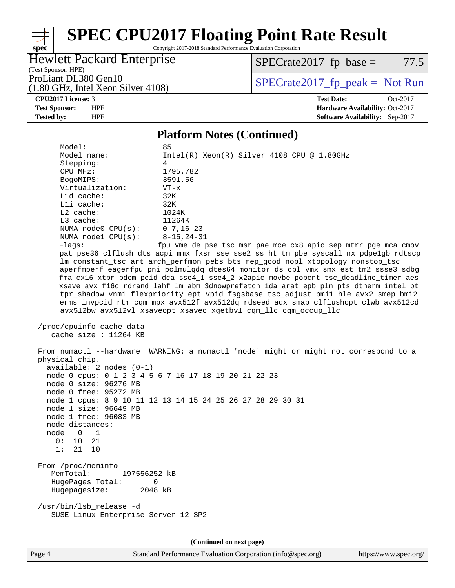# **[SPEC CPU2017 Floating Point Rate Result](http://www.spec.org/auto/cpu2017/Docs/result-fields.html#SPECCPU2017FloatingPointRateResult)**

Copyright 2017-2018 Standard Performance Evaluation Corporation

### Hewlett Packard Enterprise

 $SPECTate2017<sub>fp</sub> base = 77.5$ 

(Test Sponsor: HPE) (1.80 GHz, Intel Xeon Silver 4108)

ProLiant DL380 Gen10<br>  $\begin{array}{r} \text{SPECrate2017\_fp\_peak = Not Run} \\ \text{SPECrate2017\_fp\_peak = Not Run} \end{array}$ 

**[spec](http://www.spec.org/)**

a tim

**[CPU2017 License:](http://www.spec.org/auto/cpu2017/Docs/result-fields.html#CPU2017License)** 3 **[Test Date:](http://www.spec.org/auto/cpu2017/Docs/result-fields.html#TestDate)** Oct-2017 **[Test Sponsor:](http://www.spec.org/auto/cpu2017/Docs/result-fields.html#TestSponsor)** HPE **[Hardware Availability:](http://www.spec.org/auto/cpu2017/Docs/result-fields.html#HardwareAvailability)** Oct-2017 **[Tested by:](http://www.spec.org/auto/cpu2017/Docs/result-fields.html#Testedby)** HPE **[Software Availability:](http://www.spec.org/auto/cpu2017/Docs/result-fields.html#SoftwareAvailability)** Sep-2017

### **[Platform Notes \(Continued\)](http://www.spec.org/auto/cpu2017/Docs/result-fields.html#PlatformNotes)**

 Model: 85 Model name: Intel(R) Xeon(R) Silver 4108 CPU @ 1.80GHz Stepping: 4 CPU MHz: 1795.782 BogoMIPS: 3591.56 Virtualization: VT-x L1d cache: 32K L1i cache: 32K L2 cache: 1024K L3 cache: 11264K NUMA node0 CPU(s): 0-7,16-23 NUMA node1 CPU(s): 8-15,24-31 Flags: fpu vme de pse tsc msr pae mce cx8 apic sep mtrr pge mca cmov pat pse36 clflush dts acpi mmx fxsr sse sse2 ss ht tm pbe syscall nx pdpe1gb rdtscp lm constant\_tsc art arch\_perfmon pebs bts rep\_good nopl xtopology nonstop\_tsc aperfmperf eagerfpu pni pclmulqdq dtes64 monitor ds\_cpl vmx smx est tm2 ssse3 sdbg fma cx16 xtpr pdcm pcid dca sse4\_1 sse4\_2 x2apic movbe popcnt tsc\_deadline\_timer aes xsave avx f16c rdrand lahf\_lm abm 3dnowprefetch ida arat epb pln pts dtherm intel\_pt tpr\_shadow vnmi flexpriority ept vpid fsgsbase tsc\_adjust bmi1 hle avx2 smep bmi2 erms invpcid rtm cqm mpx avx512f avx512dq rdseed adx smap clflushopt clwb avx512cd avx512bw avx512vl xsaveopt xsavec xgetbv1 cqm\_llc cqm\_occup\_llc

```
 /proc/cpuinfo cache data
   cache size : 11264 KB
```
SUSE Linux Enterprise Server 12 SP2

 From numactl --hardware WARNING: a numactl 'node' might or might not correspond to a physical chip. available: 2 nodes (0-1) node 0 cpus: 0 1 2 3 4 5 6 7 16 17 18 19 20 21 22 23 node 0 size: 96276 MB node 0 free: 95272 MB node 1 cpus: 8 9 10 11 12 13 14 15 24 25 26 27 28 29 30 31 node 1 size: 96649 MB node 1 free: 96083 MB node distances: node 0 1 0: 10 21 1: 21 10 From /proc/meminfo MemTotal: 197556252 kB HugePages\_Total: 0 Hugepagesize: 2048 kB /usr/bin/lsb\_release -d

**(Continued on next page)**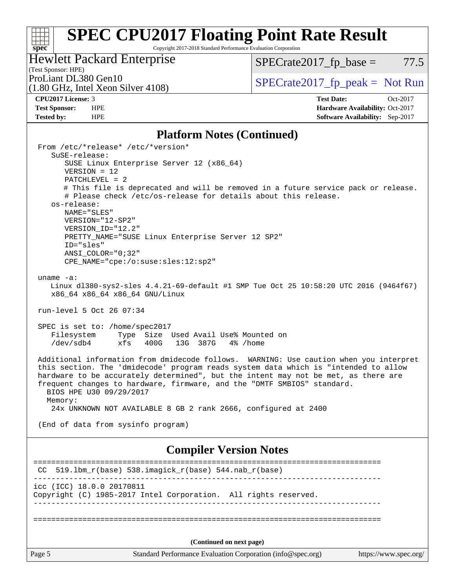# **[SPEC CPU2017 Floating Point Rate Result](http://www.spec.org/auto/cpu2017/Docs/result-fields.html#SPECCPU2017FloatingPointRateResult)**

Copyright 2017-2018 Standard Performance Evaluation Corporation

### Hewlett Packard Enterprise

 $SPECrate2017_fp\_base = 77.5$ 

## (Test Sponsor: HPE)<br>ProLiant DL380 Gen10

(1.80 GHz, Intel Xeon Silver 4108)

 $SPECTate 2017_fp\_peak = Not Run$ 

**[spec](http://www.spec.org/)**

**[CPU2017 License:](http://www.spec.org/auto/cpu2017/Docs/result-fields.html#CPU2017License)** 3 **[Test Date:](http://www.spec.org/auto/cpu2017/Docs/result-fields.html#TestDate)** Oct-2017 **[Test Sponsor:](http://www.spec.org/auto/cpu2017/Docs/result-fields.html#TestSponsor)** HPE **[Hardware Availability:](http://www.spec.org/auto/cpu2017/Docs/result-fields.html#HardwareAvailability)** Oct-2017 **[Tested by:](http://www.spec.org/auto/cpu2017/Docs/result-fields.html#Testedby)** HPE **[Software Availability:](http://www.spec.org/auto/cpu2017/Docs/result-fields.html#SoftwareAvailability)** Sep-2017

### **[Platform Notes \(Continued\)](http://www.spec.org/auto/cpu2017/Docs/result-fields.html#PlatformNotes)**

| Page 5                                                                                                                                                                          |                                                                |                          | Standard Performance Evaluation Corporation (info@spec.org) | https://www.spec.org/                                                                  |
|---------------------------------------------------------------------------------------------------------------------------------------------------------------------------------|----------------------------------------------------------------|--------------------------|-------------------------------------------------------------|----------------------------------------------------------------------------------------|
|                                                                                                                                                                                 |                                                                | (Continued on next page) |                                                             |                                                                                        |
|                                                                                                                                                                                 |                                                                |                          |                                                             |                                                                                        |
| icc (ICC) 18.0.0 20170811<br>Copyright (C) 1985-2017 Intel Corporation. All rights reserved.                                                                                    |                                                                |                          |                                                             |                                                                                        |
| CC.                                                                                                                                                                             | 519.1bm_r(base) 538.imagick_r(base) 544.nab_r(base)            |                          |                                                             |                                                                                        |
|                                                                                                                                                                                 |                                                                |                          | <b>Compiler Version Notes</b>                               |                                                                                        |
| (End of data from sysinfo program)                                                                                                                                              |                                                                |                          |                                                             |                                                                                        |
| frequent changes to hardware, firmware, and the "DMTF SMBIOS" standard.<br>BIOS HPE U30 09/29/2017<br>Memory:<br>24x UNKNOWN NOT AVAILABLE 8 GB 2 rank 2666, configured at 2400 |                                                                |                          |                                                             |                                                                                        |
| this section. The 'dmidecode' program reads system data which is "intended to allow<br>hardware to be accurately determined", but the intent may not be met, as there are       |                                                                |                          |                                                             | Additional information from dmidecode follows. WARNING: Use caution when you interpret |
| Filesystem<br>/dev/sdb4                                                                                                                                                         | Type Size Used Avail Use% Mounted on<br>xfs<br>400G            | 13G 387G                 | 4% /home                                                    |                                                                                        |
| SPEC is set to: /home/spec2017                                                                                                                                                  |                                                                |                          |                                                             |                                                                                        |
| run-level 5 Oct 26 07:34                                                                                                                                                        |                                                                |                          |                                                             |                                                                                        |
| uname $-a$ :<br>x86_64 x86_64 x86_64 GNU/Linux                                                                                                                                  |                                                                |                          |                                                             | Linux dl380-sys2-sles 4.4.21-69-default #1 SMP Tue Oct 25 10:58:20 UTC 2016 (9464f67)  |
| $ANSI$ _COLOR=" $0:32$ "                                                                                                                                                        | CPE_NAME="cpe:/o:suse:sles:12:sp2"                             |                          |                                                             |                                                                                        |
| ID="sles"                                                                                                                                                                       | PRETTY_NAME="SUSE Linux Enterprise Server 12 SP2"              |                          |                                                             |                                                                                        |
| VERSION="12-SP2"<br>VERSION ID="12.2"                                                                                                                                           |                                                                |                          |                                                             |                                                                                        |
| os-release:<br>NAME="SLES"                                                                                                                                                      |                                                                |                          |                                                             |                                                                                        |
|                                                                                                                                                                                 | # Please check /etc/os-release for details about this release. |                          |                                                             | # This file is deprecated and will be removed in a future service pack or release.     |
| $VERSION = 12$<br>$PATCHLEVEL = 2$                                                                                                                                              |                                                                |                          |                                                             |                                                                                        |
| SuSE-release:                                                                                                                                                                   | SUSE Linux Enterprise Server 12 (x86_64)                       |                          |                                                             |                                                                                        |
| From /etc/*release* /etc/*version*                                                                                                                                              |                                                                |                          |                                                             |                                                                                        |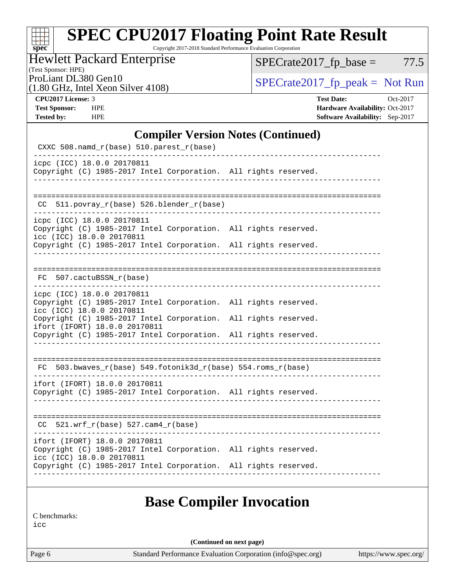# **[spec](http://www.spec.org/)**

# **[SPEC CPU2017 Floating Point Rate Result](http://www.spec.org/auto/cpu2017/Docs/result-fields.html#SPECCPU2017FloatingPointRateResult)**

Copyright 2017-2018 Standard Performance Evaluation Corporation

### Hewlett Packard Enterprise

 $SPECTate2017_fp\_base = 77.5$ 

(Test Sponsor: HPE)

(1.80 GHz, Intel Xeon Silver 4108)

ProLiant DL380 Gen10<br>(1.80 GHz, Intel Xeon Silver 4108) [SPECrate2017\\_fp\\_peak =](http://www.spec.org/auto/cpu2017/Docs/result-fields.html#SPECrate2017fppeak) Not Run

| <b>CPU2017 License: 3</b> |
|---------------------------|
|---------------------------|

**[CPU2017 License:](http://www.spec.org/auto/cpu2017/Docs/result-fields.html#CPU2017License)** 3 **[Test Date:](http://www.spec.org/auto/cpu2017/Docs/result-fields.html#TestDate)** Oct-2017 **[Test Sponsor:](http://www.spec.org/auto/cpu2017/Docs/result-fields.html#TestSponsor)** HPE **[Hardware Availability:](http://www.spec.org/auto/cpu2017/Docs/result-fields.html#HardwareAvailability)** Oct-2017 **[Tested by:](http://www.spec.org/auto/cpu2017/Docs/result-fields.html#Testedby)** HPE **[Software Availability:](http://www.spec.org/auto/cpu2017/Docs/result-fields.html#SoftwareAvailability)** Sep-2017

### **[Compiler Version Notes \(Continued\)](http://www.spec.org/auto/cpu2017/Docs/result-fields.html#CompilerVersionNotes)**

| CXXC 508.namd_r(base) 510.parest_r(base)                                                                                   |  |
|----------------------------------------------------------------------------------------------------------------------------|--|
| icpc (ICC) 18.0.0 20170811<br>Copyright (C) 1985-2017 Intel Corporation. All rights reserved.                              |  |
| CC 511.povray_r(base) 526.blender_r(base)                                                                                  |  |
| icpc (ICC) 18.0.0 20170811<br>Copyright (C) 1985-2017 Intel Corporation. All rights reserved.<br>icc (ICC) 18.0.0 20170811 |  |
| Copyright (C) 1985-2017 Intel Corporation. All rights reserved.                                                            |  |
| FC 507.cactuBSSN r(base)                                                                                                   |  |
| icpc (ICC) 18.0.0 20170811<br>Copyright (C) 1985-2017 Intel Corporation. All rights reserved.<br>icc (ICC) 18.0.0 20170811 |  |
| Copyright (C) 1985-2017 Intel Corporation. All rights reserved.<br>ifort (IFORT) 18.0.0 20170811                           |  |
| Copyright (C) 1985-2017 Intel Corporation. All rights reserved.<br>_________________                                       |  |
| $FC 503.bwaves_r(base) 549.fotonik3d_r(base) 554.roms_r(base)$                                                             |  |
| ifort (IFORT) 18.0.0 20170811<br>Copyright (C) 1985-2017 Intel Corporation. All rights reserved.                           |  |
| $CC$ 521.wrf_r(base) 527.cam4_r(base)                                                                                      |  |
| ifort (IFORT) 18.0.0 20170811<br>Copyright (C) 1985-2017 Intel Corporation. All rights reserved.                           |  |
| icc (ICC) 18.0.0 20170811<br>Copyright (C) 1985-2017 Intel Corporation. All rights reserved.                               |  |
|                                                                                                                            |  |
| <b>Base Compiler Invocation</b>                                                                                            |  |

[C benchmarks:](http://www.spec.org/auto/cpu2017/Docs/result-fields.html#Cbenchmarks)

[icc](http://www.spec.org/cpu2017/results/res2017q4/cpu2017-20171031-00475.flags.html#user_CCbase_intel_icc_18.0_66fc1ee009f7361af1fbd72ca7dcefbb700085f36577c54f309893dd4ec40d12360134090235512931783d35fd58c0460139e722d5067c5574d8eaf2b3e37e92)

**(Continued on next page)**

Page 6 Standard Performance Evaluation Corporation [\(info@spec.org\)](mailto:info@spec.org) <https://www.spec.org/>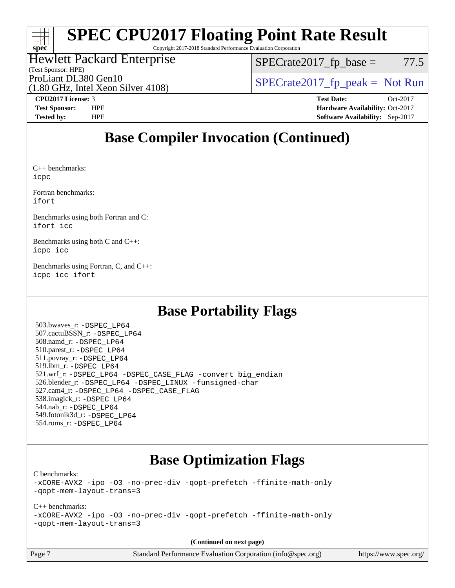# **[spec](http://www.spec.org/)**

# **[SPEC CPU2017 Floating Point Rate Result](http://www.spec.org/auto/cpu2017/Docs/result-fields.html#SPECCPU2017FloatingPointRateResult)**

Copyright 2017-2018 Standard Performance Evaluation Corporation

### Hewlett Packard Enterprise

(Test Sponsor: HPE)

 $SPECTate2017<sub>fp</sub> base = 77.5$ 

(1.80 GHz, Intel Xeon Silver 4108)

ProLiant DL380 Gen10<br>  $\begin{array}{r} \text{SPECrate2017\_fp\_peak = Not Run} \\ \text{SPECrate2017\_fp\_peak = Not Run} \end{array}$ 

**[CPU2017 License:](http://www.spec.org/auto/cpu2017/Docs/result-fields.html#CPU2017License)** 3 **[Test Date:](http://www.spec.org/auto/cpu2017/Docs/result-fields.html#TestDate)** Oct-2017 **[Test Sponsor:](http://www.spec.org/auto/cpu2017/Docs/result-fields.html#TestSponsor)** HPE **[Hardware Availability:](http://www.spec.org/auto/cpu2017/Docs/result-fields.html#HardwareAvailability)** Oct-2017 **[Tested by:](http://www.spec.org/auto/cpu2017/Docs/result-fields.html#Testedby)** HPE **[Software Availability:](http://www.spec.org/auto/cpu2017/Docs/result-fields.html#SoftwareAvailability)** Sep-2017

## **[Base Compiler Invocation \(Continued\)](http://www.spec.org/auto/cpu2017/Docs/result-fields.html#BaseCompilerInvocation)**

[C++ benchmarks](http://www.spec.org/auto/cpu2017/Docs/result-fields.html#CXXbenchmarks): [icpc](http://www.spec.org/cpu2017/results/res2017q4/cpu2017-20171031-00475.flags.html#user_CXXbase_intel_icpc_18.0_c510b6838c7f56d33e37e94d029a35b4a7bccf4766a728ee175e80a419847e808290a9b78be685c44ab727ea267ec2f070ec5dc83b407c0218cded6866a35d07)

[Fortran benchmarks](http://www.spec.org/auto/cpu2017/Docs/result-fields.html#Fortranbenchmarks): [ifort](http://www.spec.org/cpu2017/results/res2017q4/cpu2017-20171031-00475.flags.html#user_FCbase_intel_ifort_18.0_8111460550e3ca792625aed983ce982f94888b8b503583aa7ba2b8303487b4d8a21a13e7191a45c5fd58ff318f48f9492884d4413fa793fd88dd292cad7027ca)

[Benchmarks using both Fortran and C:](http://www.spec.org/auto/cpu2017/Docs/result-fields.html#BenchmarksusingbothFortranandC) [ifort](http://www.spec.org/cpu2017/results/res2017q4/cpu2017-20171031-00475.flags.html#user_CC_FCbase_intel_ifort_18.0_8111460550e3ca792625aed983ce982f94888b8b503583aa7ba2b8303487b4d8a21a13e7191a45c5fd58ff318f48f9492884d4413fa793fd88dd292cad7027ca) [icc](http://www.spec.org/cpu2017/results/res2017q4/cpu2017-20171031-00475.flags.html#user_CC_FCbase_intel_icc_18.0_66fc1ee009f7361af1fbd72ca7dcefbb700085f36577c54f309893dd4ec40d12360134090235512931783d35fd58c0460139e722d5067c5574d8eaf2b3e37e92)

[Benchmarks using both C and C++](http://www.spec.org/auto/cpu2017/Docs/result-fields.html#BenchmarksusingbothCandCXX): [icpc](http://www.spec.org/cpu2017/results/res2017q4/cpu2017-20171031-00475.flags.html#user_CC_CXXbase_intel_icpc_18.0_c510b6838c7f56d33e37e94d029a35b4a7bccf4766a728ee175e80a419847e808290a9b78be685c44ab727ea267ec2f070ec5dc83b407c0218cded6866a35d07) [icc](http://www.spec.org/cpu2017/results/res2017q4/cpu2017-20171031-00475.flags.html#user_CC_CXXbase_intel_icc_18.0_66fc1ee009f7361af1fbd72ca7dcefbb700085f36577c54f309893dd4ec40d12360134090235512931783d35fd58c0460139e722d5067c5574d8eaf2b3e37e92)

[Benchmarks using Fortran, C, and C++:](http://www.spec.org/auto/cpu2017/Docs/result-fields.html#BenchmarksusingFortranCandCXX) [icpc](http://www.spec.org/cpu2017/results/res2017q4/cpu2017-20171031-00475.flags.html#user_CC_CXX_FCbase_intel_icpc_18.0_c510b6838c7f56d33e37e94d029a35b4a7bccf4766a728ee175e80a419847e808290a9b78be685c44ab727ea267ec2f070ec5dc83b407c0218cded6866a35d07) [icc](http://www.spec.org/cpu2017/results/res2017q4/cpu2017-20171031-00475.flags.html#user_CC_CXX_FCbase_intel_icc_18.0_66fc1ee009f7361af1fbd72ca7dcefbb700085f36577c54f309893dd4ec40d12360134090235512931783d35fd58c0460139e722d5067c5574d8eaf2b3e37e92) [ifort](http://www.spec.org/cpu2017/results/res2017q4/cpu2017-20171031-00475.flags.html#user_CC_CXX_FCbase_intel_ifort_18.0_8111460550e3ca792625aed983ce982f94888b8b503583aa7ba2b8303487b4d8a21a13e7191a45c5fd58ff318f48f9492884d4413fa793fd88dd292cad7027ca)

## **[Base Portability Flags](http://www.spec.org/auto/cpu2017/Docs/result-fields.html#BasePortabilityFlags)**

 503.bwaves\_r: [-DSPEC\\_LP64](http://www.spec.org/cpu2017/results/res2017q4/cpu2017-20171031-00475.flags.html#suite_basePORTABILITY503_bwaves_r_DSPEC_LP64) 507.cactuBSSN\_r: [-DSPEC\\_LP64](http://www.spec.org/cpu2017/results/res2017q4/cpu2017-20171031-00475.flags.html#suite_basePORTABILITY507_cactuBSSN_r_DSPEC_LP64) 508.namd\_r: [-DSPEC\\_LP64](http://www.spec.org/cpu2017/results/res2017q4/cpu2017-20171031-00475.flags.html#suite_basePORTABILITY508_namd_r_DSPEC_LP64) 510.parest\_r: [-DSPEC\\_LP64](http://www.spec.org/cpu2017/results/res2017q4/cpu2017-20171031-00475.flags.html#suite_basePORTABILITY510_parest_r_DSPEC_LP64) 511.povray\_r: [-DSPEC\\_LP64](http://www.spec.org/cpu2017/results/res2017q4/cpu2017-20171031-00475.flags.html#suite_basePORTABILITY511_povray_r_DSPEC_LP64) 519.lbm\_r: [-DSPEC\\_LP64](http://www.spec.org/cpu2017/results/res2017q4/cpu2017-20171031-00475.flags.html#suite_basePORTABILITY519_lbm_r_DSPEC_LP64) 521.wrf\_r: [-DSPEC\\_LP64](http://www.spec.org/cpu2017/results/res2017q4/cpu2017-20171031-00475.flags.html#suite_basePORTABILITY521_wrf_r_DSPEC_LP64) [-DSPEC\\_CASE\\_FLAG](http://www.spec.org/cpu2017/results/res2017q4/cpu2017-20171031-00475.flags.html#b521.wrf_r_baseCPORTABILITY_DSPEC_CASE_FLAG) [-convert big\\_endian](http://www.spec.org/cpu2017/results/res2017q4/cpu2017-20171031-00475.flags.html#user_baseFPORTABILITY521_wrf_r_convert_big_endian_c3194028bc08c63ac5d04de18c48ce6d347e4e562e8892b8bdbdc0214820426deb8554edfa529a3fb25a586e65a3d812c835984020483e7e73212c4d31a38223) 526.blender\_r: [-DSPEC\\_LP64](http://www.spec.org/cpu2017/results/res2017q4/cpu2017-20171031-00475.flags.html#suite_basePORTABILITY526_blender_r_DSPEC_LP64) [-DSPEC\\_LINUX](http://www.spec.org/cpu2017/results/res2017q4/cpu2017-20171031-00475.flags.html#b526.blender_r_baseCPORTABILITY_DSPEC_LINUX) [-funsigned-char](http://www.spec.org/cpu2017/results/res2017q4/cpu2017-20171031-00475.flags.html#user_baseCPORTABILITY526_blender_r_force_uchar_40c60f00ab013830e2dd6774aeded3ff59883ba5a1fc5fc14077f794d777847726e2a5858cbc7672e36e1b067e7e5c1d9a74f7176df07886a243d7cc18edfe67) 527.cam4\_r: [-DSPEC\\_LP64](http://www.spec.org/cpu2017/results/res2017q4/cpu2017-20171031-00475.flags.html#suite_basePORTABILITY527_cam4_r_DSPEC_LP64) [-DSPEC\\_CASE\\_FLAG](http://www.spec.org/cpu2017/results/res2017q4/cpu2017-20171031-00475.flags.html#b527.cam4_r_baseCPORTABILITY_DSPEC_CASE_FLAG) 538.imagick\_r: [-DSPEC\\_LP64](http://www.spec.org/cpu2017/results/res2017q4/cpu2017-20171031-00475.flags.html#suite_basePORTABILITY538_imagick_r_DSPEC_LP64) 544.nab\_r: [-DSPEC\\_LP64](http://www.spec.org/cpu2017/results/res2017q4/cpu2017-20171031-00475.flags.html#suite_basePORTABILITY544_nab_r_DSPEC_LP64) 549.fotonik3d\_r: [-DSPEC\\_LP64](http://www.spec.org/cpu2017/results/res2017q4/cpu2017-20171031-00475.flags.html#suite_basePORTABILITY549_fotonik3d_r_DSPEC_LP64) 554.roms\_r: [-DSPEC\\_LP64](http://www.spec.org/cpu2017/results/res2017q4/cpu2017-20171031-00475.flags.html#suite_basePORTABILITY554_roms_r_DSPEC_LP64)

## **[Base Optimization Flags](http://www.spec.org/auto/cpu2017/Docs/result-fields.html#BaseOptimizationFlags)**

[C benchmarks](http://www.spec.org/auto/cpu2017/Docs/result-fields.html#Cbenchmarks):

[-xCORE-AVX2](http://www.spec.org/cpu2017/results/res2017q4/cpu2017-20171031-00475.flags.html#user_CCbase_f-xCORE-AVX2) [-ipo](http://www.spec.org/cpu2017/results/res2017q4/cpu2017-20171031-00475.flags.html#user_CCbase_f-ipo) [-O3](http://www.spec.org/cpu2017/results/res2017q4/cpu2017-20171031-00475.flags.html#user_CCbase_f-O3) [-no-prec-div](http://www.spec.org/cpu2017/results/res2017q4/cpu2017-20171031-00475.flags.html#user_CCbase_f-no-prec-div) [-qopt-prefetch](http://www.spec.org/cpu2017/results/res2017q4/cpu2017-20171031-00475.flags.html#user_CCbase_f-qopt-prefetch) [-ffinite-math-only](http://www.spec.org/cpu2017/results/res2017q4/cpu2017-20171031-00475.flags.html#user_CCbase_f_finite_math_only_cb91587bd2077682c4b38af759c288ed7c732db004271a9512da14a4f8007909a5f1427ecbf1a0fb78ff2a814402c6114ac565ca162485bbcae155b5e4258871) [-qopt-mem-layout-trans=3](http://www.spec.org/cpu2017/results/res2017q4/cpu2017-20171031-00475.flags.html#user_CCbase_f-qopt-mem-layout-trans_de80db37974c74b1f0e20d883f0b675c88c3b01e9d123adea9b28688d64333345fb62bc4a798493513fdb68f60282f9a726aa07f478b2f7113531aecce732043)

[C++ benchmarks:](http://www.spec.org/auto/cpu2017/Docs/result-fields.html#CXXbenchmarks)

[-xCORE-AVX2](http://www.spec.org/cpu2017/results/res2017q4/cpu2017-20171031-00475.flags.html#user_CXXbase_f-xCORE-AVX2) [-ipo](http://www.spec.org/cpu2017/results/res2017q4/cpu2017-20171031-00475.flags.html#user_CXXbase_f-ipo) [-O3](http://www.spec.org/cpu2017/results/res2017q4/cpu2017-20171031-00475.flags.html#user_CXXbase_f-O3) [-no-prec-div](http://www.spec.org/cpu2017/results/res2017q4/cpu2017-20171031-00475.flags.html#user_CXXbase_f-no-prec-div) [-qopt-prefetch](http://www.spec.org/cpu2017/results/res2017q4/cpu2017-20171031-00475.flags.html#user_CXXbase_f-qopt-prefetch) [-ffinite-math-only](http://www.spec.org/cpu2017/results/res2017q4/cpu2017-20171031-00475.flags.html#user_CXXbase_f_finite_math_only_cb91587bd2077682c4b38af759c288ed7c732db004271a9512da14a4f8007909a5f1427ecbf1a0fb78ff2a814402c6114ac565ca162485bbcae155b5e4258871) [-qopt-mem-layout-trans=3](http://www.spec.org/cpu2017/results/res2017q4/cpu2017-20171031-00475.flags.html#user_CXXbase_f-qopt-mem-layout-trans_de80db37974c74b1f0e20d883f0b675c88c3b01e9d123adea9b28688d64333345fb62bc4a798493513fdb68f60282f9a726aa07f478b2f7113531aecce732043)

**(Continued on next page)**

Page 7 Standard Performance Evaluation Corporation [\(info@spec.org\)](mailto:info@spec.org) <https://www.spec.org/>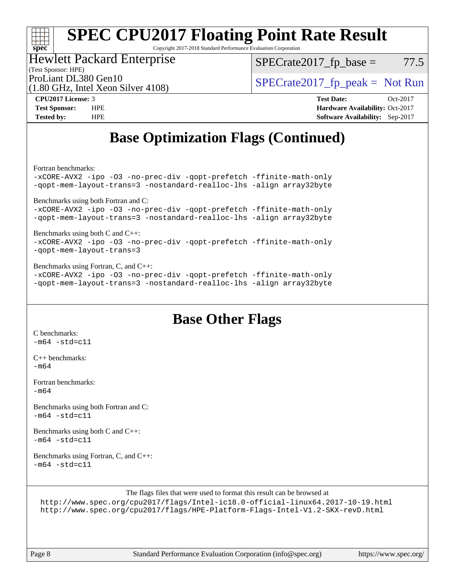# **[spec](http://www.spec.org/)**

# **[SPEC CPU2017 Floating Point Rate Result](http://www.spec.org/auto/cpu2017/Docs/result-fields.html#SPECCPU2017FloatingPointRateResult)**

Copyright 2017-2018 Standard Performance Evaluation Corporation

### Hewlett Packard Enterprise

(1.80 GHz, Intel Xeon Silver 4108)

 $SPECTate2017<sub>fp</sub> base = 77.5$ 

(Test Sponsor: HPE)

ProLiant DL380 Gen10  $SPECTA = 108$   $SPECTA = 108$   $SPECTA = 108$ 

**[CPU2017 License:](http://www.spec.org/auto/cpu2017/Docs/result-fields.html#CPU2017License)** 3 **[Test Date:](http://www.spec.org/auto/cpu2017/Docs/result-fields.html#TestDate)** Oct-2017 **[Test Sponsor:](http://www.spec.org/auto/cpu2017/Docs/result-fields.html#TestSponsor)** HPE **[Hardware Availability:](http://www.spec.org/auto/cpu2017/Docs/result-fields.html#HardwareAvailability)** Oct-2017 **[Tested by:](http://www.spec.org/auto/cpu2017/Docs/result-fields.html#Testedby)** HPE **[Software Availability:](http://www.spec.org/auto/cpu2017/Docs/result-fields.html#SoftwareAvailability)** Sep-2017

## **[Base Optimization Flags \(Continued\)](http://www.spec.org/auto/cpu2017/Docs/result-fields.html#BaseOptimizationFlags)**

[Fortran benchmarks](http://www.spec.org/auto/cpu2017/Docs/result-fields.html#Fortranbenchmarks):

[-xCORE-AVX2](http://www.spec.org/cpu2017/results/res2017q4/cpu2017-20171031-00475.flags.html#user_FCbase_f-xCORE-AVX2) [-ipo](http://www.spec.org/cpu2017/results/res2017q4/cpu2017-20171031-00475.flags.html#user_FCbase_f-ipo) [-O3](http://www.spec.org/cpu2017/results/res2017q4/cpu2017-20171031-00475.flags.html#user_FCbase_f-O3) [-no-prec-div](http://www.spec.org/cpu2017/results/res2017q4/cpu2017-20171031-00475.flags.html#user_FCbase_f-no-prec-div) [-qopt-prefetch](http://www.spec.org/cpu2017/results/res2017q4/cpu2017-20171031-00475.flags.html#user_FCbase_f-qopt-prefetch) [-ffinite-math-only](http://www.spec.org/cpu2017/results/res2017q4/cpu2017-20171031-00475.flags.html#user_FCbase_f_finite_math_only_cb91587bd2077682c4b38af759c288ed7c732db004271a9512da14a4f8007909a5f1427ecbf1a0fb78ff2a814402c6114ac565ca162485bbcae155b5e4258871) [-qopt-mem-layout-trans=3](http://www.spec.org/cpu2017/results/res2017q4/cpu2017-20171031-00475.flags.html#user_FCbase_f-qopt-mem-layout-trans_de80db37974c74b1f0e20d883f0b675c88c3b01e9d123adea9b28688d64333345fb62bc4a798493513fdb68f60282f9a726aa07f478b2f7113531aecce732043) [-nostandard-realloc-lhs](http://www.spec.org/cpu2017/results/res2017q4/cpu2017-20171031-00475.flags.html#user_FCbase_f_2003_std_realloc_82b4557e90729c0f113870c07e44d33d6f5a304b4f63d4c15d2d0f1fab99f5daaed73bdb9275d9ae411527f28b936061aa8b9c8f2d63842963b95c9dd6426b8a) [-align array32byte](http://www.spec.org/cpu2017/results/res2017q4/cpu2017-20171031-00475.flags.html#user_FCbase_align_array32byte_b982fe038af199962ba9a80c053b8342c548c85b40b8e86eb3cc33dee0d7986a4af373ac2d51c3f7cf710a18d62fdce2948f201cd044323541f22fc0fffc51b6) [Benchmarks using both Fortran and C](http://www.spec.org/auto/cpu2017/Docs/result-fields.html#BenchmarksusingbothFortranandC): [-xCORE-AVX2](http://www.spec.org/cpu2017/results/res2017q4/cpu2017-20171031-00475.flags.html#user_CC_FCbase_f-xCORE-AVX2) [-ipo](http://www.spec.org/cpu2017/results/res2017q4/cpu2017-20171031-00475.flags.html#user_CC_FCbase_f-ipo) [-O3](http://www.spec.org/cpu2017/results/res2017q4/cpu2017-20171031-00475.flags.html#user_CC_FCbase_f-O3) [-no-prec-div](http://www.spec.org/cpu2017/results/res2017q4/cpu2017-20171031-00475.flags.html#user_CC_FCbase_f-no-prec-div) [-qopt-prefetch](http://www.spec.org/cpu2017/results/res2017q4/cpu2017-20171031-00475.flags.html#user_CC_FCbase_f-qopt-prefetch) [-ffinite-math-only](http://www.spec.org/cpu2017/results/res2017q4/cpu2017-20171031-00475.flags.html#user_CC_FCbase_f_finite_math_only_cb91587bd2077682c4b38af759c288ed7c732db004271a9512da14a4f8007909a5f1427ecbf1a0fb78ff2a814402c6114ac565ca162485bbcae155b5e4258871) [-qopt-mem-layout-trans=3](http://www.spec.org/cpu2017/results/res2017q4/cpu2017-20171031-00475.flags.html#user_CC_FCbase_f-qopt-mem-layout-trans_de80db37974c74b1f0e20d883f0b675c88c3b01e9d123adea9b28688d64333345fb62bc4a798493513fdb68f60282f9a726aa07f478b2f7113531aecce732043) [-nostandard-realloc-lhs](http://www.spec.org/cpu2017/results/res2017q4/cpu2017-20171031-00475.flags.html#user_CC_FCbase_f_2003_std_realloc_82b4557e90729c0f113870c07e44d33d6f5a304b4f63d4c15d2d0f1fab99f5daaed73bdb9275d9ae411527f28b936061aa8b9c8f2d63842963b95c9dd6426b8a) [-align array32byte](http://www.spec.org/cpu2017/results/res2017q4/cpu2017-20171031-00475.flags.html#user_CC_FCbase_align_array32byte_b982fe038af199962ba9a80c053b8342c548c85b40b8e86eb3cc33dee0d7986a4af373ac2d51c3f7cf710a18d62fdce2948f201cd044323541f22fc0fffc51b6) [Benchmarks using both C and C++](http://www.spec.org/auto/cpu2017/Docs/result-fields.html#BenchmarksusingbothCandCXX): [-xCORE-AVX2](http://www.spec.org/cpu2017/results/res2017q4/cpu2017-20171031-00475.flags.html#user_CC_CXXbase_f-xCORE-AVX2) [-ipo](http://www.spec.org/cpu2017/results/res2017q4/cpu2017-20171031-00475.flags.html#user_CC_CXXbase_f-ipo) [-O3](http://www.spec.org/cpu2017/results/res2017q4/cpu2017-20171031-00475.flags.html#user_CC_CXXbase_f-O3) [-no-prec-div](http://www.spec.org/cpu2017/results/res2017q4/cpu2017-20171031-00475.flags.html#user_CC_CXXbase_f-no-prec-div) [-qopt-prefetch](http://www.spec.org/cpu2017/results/res2017q4/cpu2017-20171031-00475.flags.html#user_CC_CXXbase_f-qopt-prefetch) [-ffinite-math-only](http://www.spec.org/cpu2017/results/res2017q4/cpu2017-20171031-00475.flags.html#user_CC_CXXbase_f_finite_math_only_cb91587bd2077682c4b38af759c288ed7c732db004271a9512da14a4f8007909a5f1427ecbf1a0fb78ff2a814402c6114ac565ca162485bbcae155b5e4258871) [-qopt-mem-layout-trans=3](http://www.spec.org/cpu2017/results/res2017q4/cpu2017-20171031-00475.flags.html#user_CC_CXXbase_f-qopt-mem-layout-trans_de80db37974c74b1f0e20d883f0b675c88c3b01e9d123adea9b28688d64333345fb62bc4a798493513fdb68f60282f9a726aa07f478b2f7113531aecce732043) [Benchmarks using Fortran, C, and C++:](http://www.spec.org/auto/cpu2017/Docs/result-fields.html#BenchmarksusingFortranCandCXX) [-xCORE-AVX2](http://www.spec.org/cpu2017/results/res2017q4/cpu2017-20171031-00475.flags.html#user_CC_CXX_FCbase_f-xCORE-AVX2) [-ipo](http://www.spec.org/cpu2017/results/res2017q4/cpu2017-20171031-00475.flags.html#user_CC_CXX_FCbase_f-ipo) [-O3](http://www.spec.org/cpu2017/results/res2017q4/cpu2017-20171031-00475.flags.html#user_CC_CXX_FCbase_f-O3) [-no-prec-div](http://www.spec.org/cpu2017/results/res2017q4/cpu2017-20171031-00475.flags.html#user_CC_CXX_FCbase_f-no-prec-div) [-qopt-prefetch](http://www.spec.org/cpu2017/results/res2017q4/cpu2017-20171031-00475.flags.html#user_CC_CXX_FCbase_f-qopt-prefetch) [-ffinite-math-only](http://www.spec.org/cpu2017/results/res2017q4/cpu2017-20171031-00475.flags.html#user_CC_CXX_FCbase_f_finite_math_only_cb91587bd2077682c4b38af759c288ed7c732db004271a9512da14a4f8007909a5f1427ecbf1a0fb78ff2a814402c6114ac565ca162485bbcae155b5e4258871)

[-qopt-mem-layout-trans=3](http://www.spec.org/cpu2017/results/res2017q4/cpu2017-20171031-00475.flags.html#user_CC_CXX_FCbase_f-qopt-mem-layout-trans_de80db37974c74b1f0e20d883f0b675c88c3b01e9d123adea9b28688d64333345fb62bc4a798493513fdb68f60282f9a726aa07f478b2f7113531aecce732043) [-nostandard-realloc-lhs](http://www.spec.org/cpu2017/results/res2017q4/cpu2017-20171031-00475.flags.html#user_CC_CXX_FCbase_f_2003_std_realloc_82b4557e90729c0f113870c07e44d33d6f5a304b4f63d4c15d2d0f1fab99f5daaed73bdb9275d9ae411527f28b936061aa8b9c8f2d63842963b95c9dd6426b8a) [-align array32byte](http://www.spec.org/cpu2017/results/res2017q4/cpu2017-20171031-00475.flags.html#user_CC_CXX_FCbase_align_array32byte_b982fe038af199962ba9a80c053b8342c548c85b40b8e86eb3cc33dee0d7986a4af373ac2d51c3f7cf710a18d62fdce2948f201cd044323541f22fc0fffc51b6)

### **[Base Other Flags](http://www.spec.org/auto/cpu2017/Docs/result-fields.html#BaseOtherFlags)**

[C benchmarks](http://www.spec.org/auto/cpu2017/Docs/result-fields.html#Cbenchmarks):  $-m64 - std = c11$  $-m64 - std = c11$ 

[C++ benchmarks:](http://www.spec.org/auto/cpu2017/Docs/result-fields.html#CXXbenchmarks) [-m64](http://www.spec.org/cpu2017/results/res2017q4/cpu2017-20171031-00475.flags.html#user_CXXbase_intel_intel64_18.0_af43caccfc8ded86e7699f2159af6efc7655f51387b94da716254467f3c01020a5059329e2569e4053f409e7c9202a7efc638f7a6d1ffb3f52dea4a3e31d82ab)

[Fortran benchmarks](http://www.spec.org/auto/cpu2017/Docs/result-fields.html#Fortranbenchmarks):  $-m64$ 

[Benchmarks using both Fortran and C](http://www.spec.org/auto/cpu2017/Docs/result-fields.html#BenchmarksusingbothFortranandC):  $-m64 - std = c11$  $-m64 - std = c11$ 

[Benchmarks using both C and C++](http://www.spec.org/auto/cpu2017/Docs/result-fields.html#BenchmarksusingbothCandCXX):  $-m64$   $-std=cl1$ 

[Benchmarks using Fortran, C, and C++:](http://www.spec.org/auto/cpu2017/Docs/result-fields.html#BenchmarksusingFortranCandCXX)  $-m64$   $-std=cl1$ 

The flags files that were used to format this result can be browsed at

<http://www.spec.org/cpu2017/flags/Intel-ic18.0-official-linux64.2017-10-19.html> <http://www.spec.org/cpu2017/flags/HPE-Platform-Flags-Intel-V1.2-SKX-revD.html>